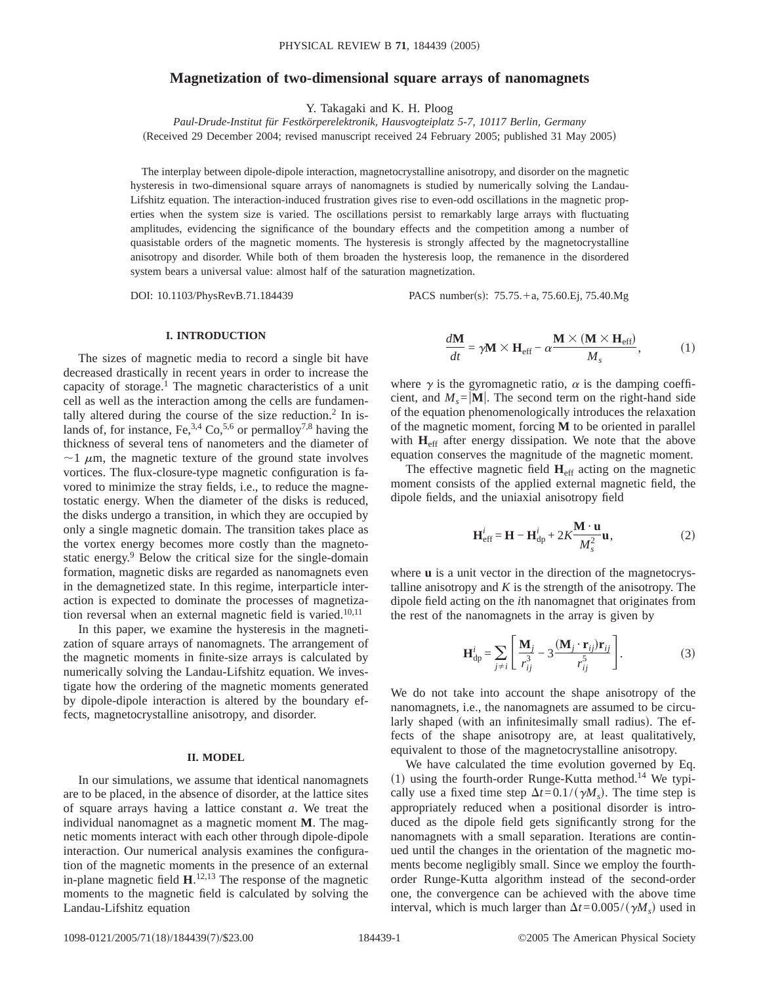# **Magnetization of two-dimensional square arrays of nanomagnets**

Y. Takagaki and K. H. Ploog

*Paul-Drude-Institut für Festkörperelektronik, Hausvogteiplatz 5-7, 10117 Berlin, Germany* (Received 29 December 2004; revised manuscript received 24 February 2005; published 31 May 2005)

The interplay between dipole-dipole interaction, magnetocrystalline anisotropy, and disorder on the magnetic hysteresis in two-dimensional square arrays of nanomagnets is studied by numerically solving the Landau-Lifshitz equation. The interaction-induced frustration gives rise to even-odd oscillations in the magnetic properties when the system size is varied. The oscillations persist to remarkably large arrays with fluctuating amplitudes, evidencing the significance of the boundary effects and the competition among a number of quasistable orders of the magnetic moments. The hysteresis is strongly affected by the magnetocrystalline anisotropy and disorder. While both of them broaden the hysteresis loop, the remanence in the disordered system bears a universal value: almost half of the saturation magnetization.

DOI: 10.1103/PhysRevB.71.184439 PACS number(s): 75.75.+a, 75.60.Ej, 75.40.Mg

## **I. INTRODUCTION**

The sizes of magnetic media to record a single bit have decreased drastically in recent years in order to increase the capacity of storage.<sup>1</sup> The magnetic characteristics of a unit cell as well as the interaction among the cells are fundamentally altered during the course of the size reduction.<sup>2</sup> In islands of, for instance, Fe,  $3,4$  Co,  $5,6$  or permalloy  $7,8$  having the thickness of several tens of nanometers and the diameter of  $\sim$ 1  $\mu$ m, the magnetic texture of the ground state involves vortices. The flux-closure-type magnetic configuration is favored to minimize the stray fields, i.e., to reduce the magnetostatic energy. When the diameter of the disks is reduced, the disks undergo a transition, in which they are occupied by only a single magnetic domain. The transition takes place as the vortex energy becomes more costly than the magnetostatic energy.<sup>9</sup> Below the critical size for the single-domain formation, magnetic disks are regarded as nanomagnets even in the demagnetized state. In this regime, interparticle interaction is expected to dominate the processes of magnetization reversal when an external magnetic field is varied.<sup>10,11</sup>

In this paper, we examine the hysteresis in the magnetization of square arrays of nanomagnets. The arrangement of the magnetic moments in finite-size arrays is calculated by numerically solving the Landau-Lifshitz equation. We investigate how the ordering of the magnetic moments generated by dipole-dipole interaction is altered by the boundary effects, magnetocrystalline anisotropy, and disorder.

#### **II. MODEL**

In our simulations, we assume that identical nanomagnets are to be placed, in the absence of disorder, at the lattice sites of square arrays having a lattice constant *a*. We treat the individual nanomagnet as a magnetic moment **M**. The magnetic moments interact with each other through dipole-dipole interaction. Our numerical analysis examines the configuration of the magnetic moments in the presence of an external in-plane magnetic field  $H$ <sup>12,13</sup>. The response of the magnetic moments to the magnetic field is calculated by solving the Landau-Lifshitz equation

$$
\frac{d\mathbf{M}}{dt} = \gamma \mathbf{M} \times \mathbf{H}_{\text{eff}} - \alpha \frac{\mathbf{M} \times (\mathbf{M} \times \mathbf{H}_{\text{eff}})}{M_s},\tag{1}
$$

where  $\gamma$  is the gyromagnetic ratio,  $\alpha$  is the damping coefficient, and  $M_s = |M|$ . The second term on the right-hand side of the equation phenomenologically introduces the relaxation of the magnetic moment, forcing **M** to be oriented in parallel with **H**<sub>eff</sub> after energy dissipation. We note that the above equation conserves the magnitude of the magnetic moment.

The effective magnetic field **H**eff acting on the magnetic moment consists of the applied external magnetic field, the dipole fields, and the uniaxial anisotropy field

$$
\mathbf{H}_{\text{eff}}^i = \mathbf{H} - \mathbf{H}_{\text{dp}}^i + 2K \frac{\mathbf{M} \cdot \mathbf{u}}{M_s^2} \mathbf{u},\tag{2}
$$

where **u** is a unit vector in the direction of the magnetocrystalline anisotropy and  $K$  is the strength of the anisotropy. The dipole field acting on the *i*th nanomagnet that originates from the rest of the nanomagnets in the array is given by

$$
\mathbf{H}_{dp}^{i} = \sum_{j \neq i} \left[ \frac{\mathbf{M}_{j}}{r_{ij}^{3}} - 3 \frac{(\mathbf{M}_{j} \cdot \mathbf{r}_{ij}) \mathbf{r}_{ij}}{r_{ij}^{5}} \right].
$$
 (3)

We do not take into account the shape anisotropy of the nanomagnets, i.e., the nanomagnets are assumed to be circularly shaped (with an infinitesimally small radius). The effects of the shape anisotropy are, at least qualitatively, equivalent to those of the magnetocrystalline anisotropy.

We have calculated the time evolution governed by Eq. (1) using the fourth-order Runge-Kutta method.<sup>14</sup> We typically use a fixed time step  $\Delta t = 0.1/(\gamma M_s)$ . The time step is appropriately reduced when a positional disorder is introduced as the dipole field gets significantly strong for the nanomagnets with a small separation. Iterations are continued until the changes in the orientation of the magnetic moments become negligibly small. Since we employ the fourthorder Runge-Kutta algorithm instead of the second-order one, the convergence can be achieved with the above time interval, which is much larger than  $\Delta t = 0.005/(\gamma M_s)$  used in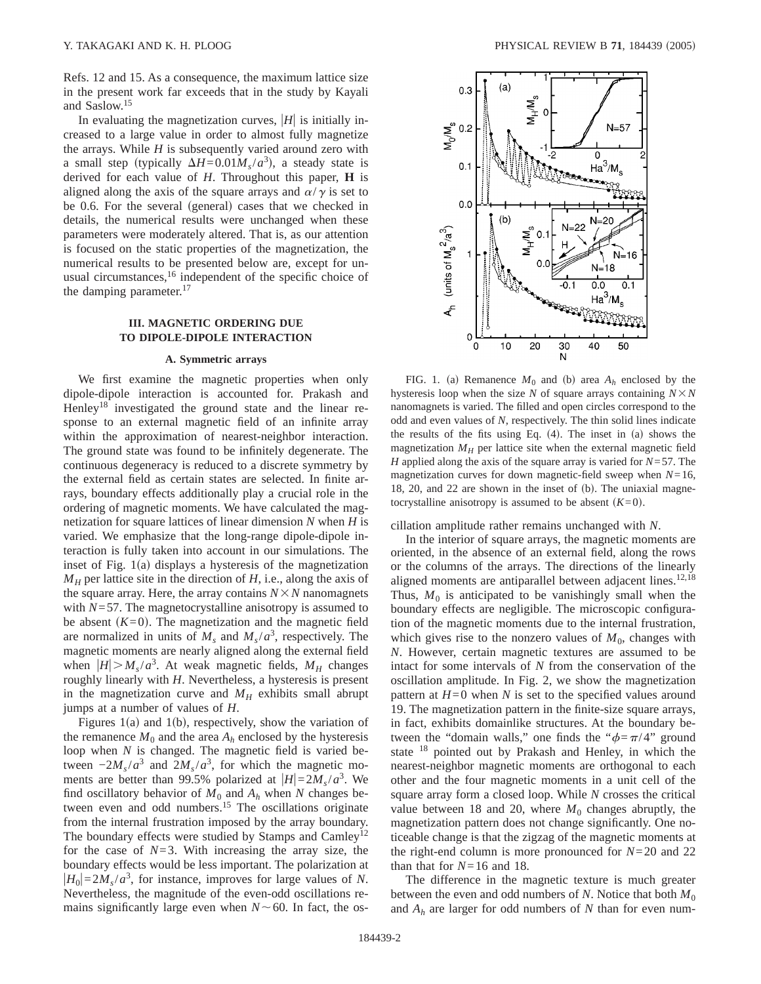Refs. 12 and 15. As a consequence, the maximum lattice size in the present work far exceeds that in the study by Kayali and Saslow.15

In evaluating the magnetization curves,  $|H|$  is initially increased to a large value in order to almost fully magnetize the arrays. While *H* is subsequently varied around zero with a small step (typically  $\Delta H = 0.01 M_s/a^3$ ), a steady state is derived for each value of *H*. Throughout this paper, **H** is aligned along the axis of the square arrays and  $\alpha/\gamma$  is set to be 0.6. For the several (general) cases that we checked in details, the numerical results were unchanged when these parameters were moderately altered. That is, as our attention is focused on the static properties of the magnetization, the numerical results to be presented below are, except for unusual circumstances, $16$  independent of the specific choice of the damping parameter. $17$ 

## **III. MAGNETIC ORDERING DUE TO DIPOLE-DIPOLE INTERACTION**

#### **A. Symmetric arrays**

We first examine the magnetic properties when only dipole-dipole interaction is accounted for. Prakash and Henley<sup>18</sup> investigated the ground state and the linear response to an external magnetic field of an infinite array within the approximation of nearest-neighbor interaction. The ground state was found to be infinitely degenerate. The continuous degeneracy is reduced to a discrete symmetry by the external field as certain states are selected. In finite arrays, boundary effects additionally play a crucial role in the ordering of magnetic moments. We have calculated the magnetization for square lattices of linear dimension *N* when *H* is varied. We emphasize that the long-range dipole-dipole interaction is fully taken into account in our simulations. The inset of Fig.  $1(a)$  displays a hysteresis of the magnetization  $M_H$  per lattice site in the direction of *H*, i.e., along the axis of the square array. Here, the array contains  $N \times N$  nanomagnets with *N*=57. The magnetocrystalline anisotropy is assumed to be absent  $(K=0)$ . The magnetization and the magnetic field are normalized in units of  $M_s$  and  $M_s/a^3$ , respectively. The magnetic moments are nearly aligned along the external field when  $|H| > M_s/a^3$ . At weak magnetic fields,  $M_H$  changes roughly linearly with *H*. Nevertheless, a hysteresis is present in the magnetization curve and  $M_H$  exhibits small abrupt jumps at a number of values of *H*.

Figures 1(a) and 1(b), respectively, show the variation of the remanence  $M_0$  and the area  $A_h$  enclosed by the hysteresis loop when *N* is changed. The magnetic field is varied between  $-2M_s/a^3$  and  $2M_s/a^3$ , for which the magnetic moments are better than 99.5% polarized at  $|H|=2M_s/a^3$ . We find oscillatory behavior of  $M_0$  and  $A_h$  when  $N$  changes between even and odd numbers.<sup>15</sup> The oscillations originate from the internal frustration imposed by the array boundary. The boundary effects were studied by Stamps and Camley<sup>12</sup> for the case of  $N=3$ . With increasing the array size, the boundary effects would be less important. The polarization at  $|H_0|=2M_s/a^3$ , for instance, improves for large values of *N*. Nevertheless, the magnitude of the even-odd oscillations remains significantly large even when  $N \sim 60$ . In fact, the os-



FIG. 1. (a) Remanence  $M_0$  and (b) area  $A_h$  enclosed by the hysteresis loop when the size *N* of square arrays containing  $N \times N$ nanomagnets is varied. The filled and open circles correspond to the odd and even values of *N*, respectively. The thin solid lines indicate the results of the fits using Eq.  $(4)$ . The inset in  $(a)$  shows the magnetization  $M_H$  per lattice site when the external magnetic field *H* applied along the axis of the square array is varied for *N*=57. The magnetization curves for down magnetic-field sweep when *N*=16, 18, 20, and 22 are shown in the inset of  $(b)$ . The uniaxial magnetocrystalline anisotropy is assumed to be absent  $(K=0)$ .

cillation amplitude rather remains unchanged with *N*.

In the interior of square arrays, the magnetic moments are oriented, in the absence of an external field, along the rows or the columns of the arrays. The directions of the linearly aligned moments are antiparallel between adjacent lines.<sup>12,18</sup> Thus,  $M_0$  is anticipated to be vanishingly small when the boundary effects are negligible. The microscopic configuration of the magnetic moments due to the internal frustration, which gives rise to the nonzero values of  $M_0$ , changes with *N*. However, certain magnetic textures are assumed to be intact for some intervals of *N* from the conservation of the oscillation amplitude. In Fig. 2, we show the magnetization pattern at  $H=0$  when  $N$  is set to the specified values around 19. The magnetization pattern in the finite-size square arrays, in fact, exhibits domainlike structures. At the boundary between the "domain walls," one finds the " $\phi = \pi/4$ " ground state <sup>18</sup> pointed out by Prakash and Henley, in which the nearest-neighbor magnetic moments are orthogonal to each other and the four magnetic moments in a unit cell of the square array form a closed loop. While *N* crosses the critical value between 18 and 20, where  $M_0$  changes abruptly, the magnetization pattern does not change significantly. One noticeable change is that the zigzag of the magnetic moments at the right-end column is more pronounced for *N*=20 and 22 than that for  $N=16$  and 18.

The difference in the magnetic texture is much greater between the even and odd numbers of *N*. Notice that both  $M_0$ and *Ah* are larger for odd numbers of *N* than for even num-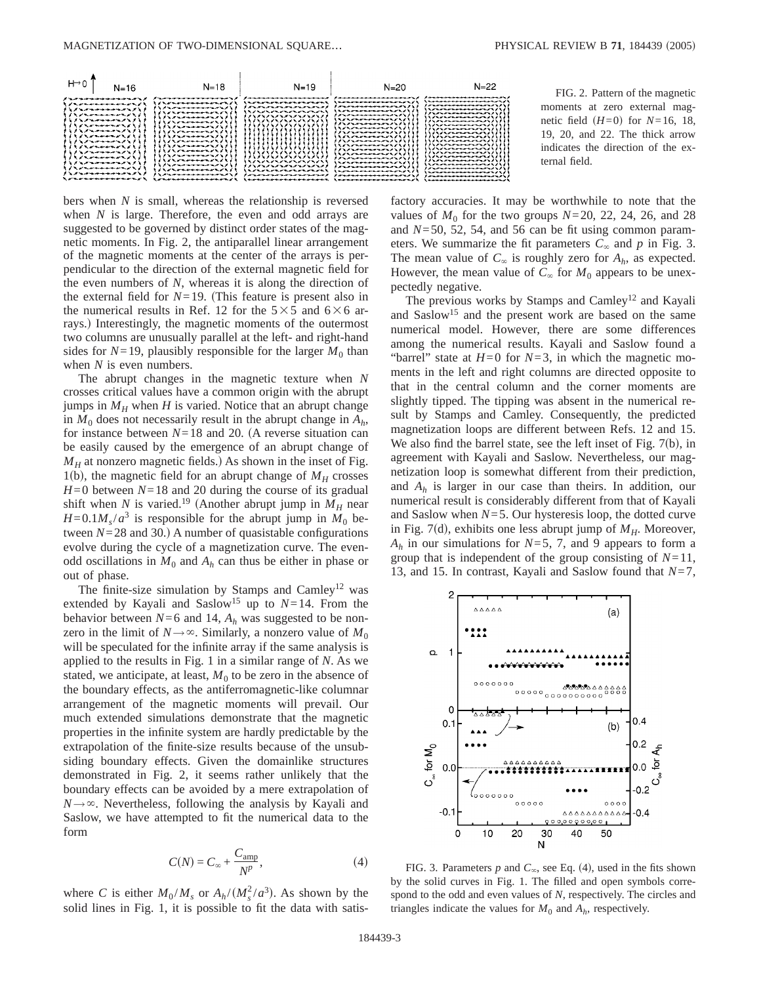



bers when *N* is small, whereas the relationship is reversed when *N* is large. Therefore, the even and odd arrays are suggested to be governed by distinct order states of the magnetic moments. In Fig. 2, the antiparallel linear arrangement of the magnetic moments at the center of the arrays is perpendicular to the direction of the external magnetic field for the even numbers of *N*, whereas it is along the direction of the external field for  $N=19$ . (This feature is present also in the numerical results in Ref. 12 for the  $5\times 5$  and  $6\times 6$  arrays.) Interestingly, the magnetic moments of the outermost two columns are unusually parallel at the left- and right-hand sides for  $N=19$ , plausibly responsible for the larger  $M_0$  than when *N* is even numbers.

The abrupt changes in the magnetic texture when *N* crosses critical values have a common origin with the abrupt jumps in  $M_H$  when *H* is varied. Notice that an abrupt change in  $M_0$  does not necessarily result in the abrupt change in  $A_h$ , for instance between  $N=18$  and 20. (A reverse situation can be easily caused by the emergence of an abrupt change of  $M_H$  at nonzero magnetic fields.) As shown in the inset of Fig. 1(b), the magnetic field for an abrupt change of  $M_H$  crosses *H*=0 between *N*=18 and 20 during the course of its gradual shift when *N* is varied.<sup>19</sup> (Another abrupt jump in  $M_H$  near  $H=0.1M<sub>s</sub>/a<sup>3</sup>$  is responsible for the abrupt jump in  $M<sub>0</sub>$  between  $N=28$  and 30.) A number of quasistable configurations evolve during the cycle of a magnetization curve. The evenodd oscillations in  $M_0$  and  $A_h$  can thus be either in phase or out of phase.

The finite-size simulation by Stamps and Camley<sup>12</sup> was extended by Kayali and Saslow<sup>15</sup> up to  $N=14$ . From the behavior between  $N=6$  and 14,  $A_h$  was suggested to be nonzero in the limit of  $N \rightarrow \infty$ . Similarly, a nonzero value of  $M_0$ will be speculated for the infinite array if the same analysis is applied to the results in Fig. 1 in a similar range of *N*. As we stated, we anticipate, at least,  $M_0$  to be zero in the absence of the boundary effects, as the antiferromagnetic-like columnar arrangement of the magnetic moments will prevail. Our much extended simulations demonstrate that the magnetic properties in the infinite system are hardly predictable by the extrapolation of the finite-size results because of the unsubsiding boundary effects. Given the domainlike structures demonstrated in Fig. 2, it seems rather unlikely that the boundary effects can be avoided by a mere extrapolation of  $N \rightarrow \infty$ . Nevertheless, following the analysis by Kayali and Saslow, we have attempted to fit the numerical data to the form

$$
C(N) = C_{\infty} + \frac{C_{\text{amp}}}{N^p},\tag{4}
$$

where *C* is either  $M_0/M_s$  or  $A_h/(M_s^2/a^3)$ . As shown by the solid lines in Fig. 1, it is possible to fit the data with satisfactory accuracies. It may be worthwhile to note that the values of  $M_0$  for the two groups  $N=20$ , 22, 24, 26, and 28 and *N*=50, 52, 54, and 56 can be fit using common parameters. We summarize the fit parameters  $C_{\infty}$  and  $p$  in Fig. 3. The mean value of  $C_{\infty}$  is roughly zero for  $A_h$ , as expected. However, the mean value of  $C_{\infty}$  for  $M_0$  appears to be unexpectedly negative.

The previous works by Stamps and Camley<sup>12</sup> and Kayali and Saslow<sup>15</sup> and the present work are based on the same numerical model. However, there are some differences among the numerical results. Kayali and Saslow found a "barrel" state at  $H=0$  for  $N=3$ , in which the magnetic moments in the left and right columns are directed opposite to that in the central column and the corner moments are slightly tipped. The tipping was absent in the numerical result by Stamps and Camley. Consequently, the predicted magnetization loops are different between Refs. 12 and 15. We also find the barrel state, see the left inset of Fig.  $7(b)$ , in agreement with Kayali and Saslow. Nevertheless, our magnetization loop is somewhat different from their prediction, and *Ah* is larger in our case than theirs. In addition, our numerical result is considerably different from that of Kayali and Saslow when *N*=5. Our hysteresis loop, the dotted curve in Fig. 7(d), exhibits one less abrupt jump of  $M_H$ . Moreover, *Ah* in our simulations for *N*=5, 7, and 9 appears to form a group that is independent of the group consisting of *N*=11, 13, and 15. In contrast, Kayali and Saslow found that *N*=7,



FIG. 3. Parameters  $p$  and  $C_{\infty}$ , see Eq. (4), used in the fits shown by the solid curves in Fig. 1. The filled and open symbols correspond to the odd and even values of *N*, respectively. The circles and triangles indicate the values for  $M_0$  and  $A_h$ , respectively.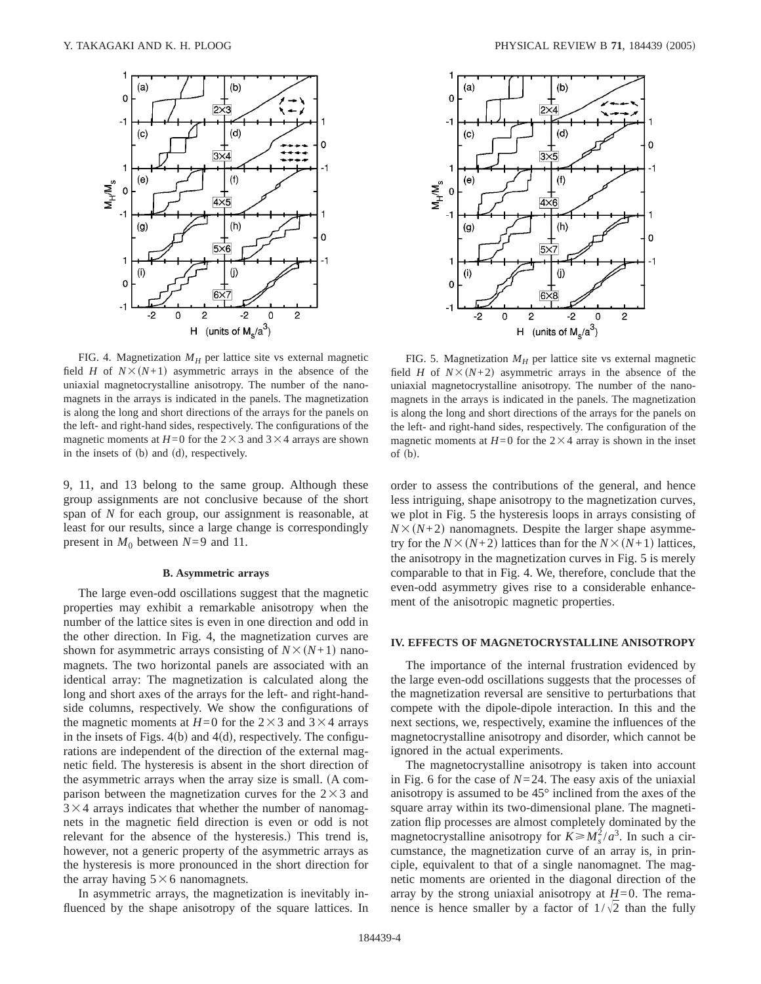

FIG. 4. Magnetization  $M_H$  per lattice site vs external magnetic field *H* of  $N \times (N+1)$  asymmetric arrays in the absence of the uniaxial magnetocrystalline anisotropy. The number of the nanomagnets in the arrays is indicated in the panels. The magnetization is along the long and short directions of the arrays for the panels on the left- and right-hand sides, respectively. The configurations of the magnetic moments at  $H=0$  for the  $2\times3$  and  $3\times4$  arrays are shown in the insets of  $(b)$  and  $(d)$ , respectively.

9, 11, and 13 belong to the same group. Although these group assignments are not conclusive because of the short span of *N* for each group, our assignment is reasonable, at least for our results, since a large change is correspondingly present in  $M_0$  between  $N=9$  and 11.

#### **B. Asymmetric arrays**

The large even-odd oscillations suggest that the magnetic properties may exhibit a remarkable anisotropy when the number of the lattice sites is even in one direction and odd in the other direction. In Fig. 4, the magnetization curves are shown for asymmetric arrays consisting of  $N\times(N+1)$  nanomagnets. The two horizontal panels are associated with an identical array: The magnetization is calculated along the long and short axes of the arrays for the left- and right-handside columns, respectively. We show the configurations of the magnetic moments at  $H=0$  for the 2×3 and 3×4 arrays in the insets of Figs.  $4(b)$  and  $4(d)$ , respectively. The configurations are independent of the direction of the external magnetic field. The hysteresis is absent in the short direction of the asymmetric arrays when the array size is small. (A comparison between the magnetization curves for the  $2\times3$  and  $3 \times 4$  arrays indicates that whether the number of nanomagnets in the magnetic field direction is even or odd is not relevant for the absence of the hysteresis.) This trend is, however, not a generic property of the asymmetric arrays as the hysteresis is more pronounced in the short direction for the array having  $5\times6$  nanomagnets.

In asymmetric arrays, the magnetization is inevitably influenced by the shape anisotropy of the square lattices. In



FIG. 5. Magnetization  $M_H$  per lattice site vs external magnetic field *H* of  $N \times (N+2)$  asymmetric arrays in the absence of the uniaxial magnetocrystalline anisotropy. The number of the nanomagnets in the arrays is indicated in the panels. The magnetization is along the long and short directions of the arrays for the panels on the left- and right-hand sides, respectively. The configuration of the magnetic moments at  $H=0$  for the  $2\times4$  array is shown in the inset of  $(b)$ .

order to assess the contributions of the general, and hence less intriguing, shape anisotropy to the magnetization curves, we plot in Fig. 5 the hysteresis loops in arrays consisting of  $N\times(N+2)$  nanomagnets. Despite the larger shape asymmetry for the  $N\times(N+2)$  lattices than for the  $N\times(N+1)$  lattices, the anisotropy in the magnetization curves in Fig. 5 is merely comparable to that in Fig. 4. We, therefore, conclude that the even-odd asymmetry gives rise to a considerable enhancement of the anisotropic magnetic properties.

## **IV. EFFECTS OF MAGNETOCRYSTALLINE ANISOTROPY**

The importance of the internal frustration evidenced by the large even-odd oscillations suggests that the processes of the magnetization reversal are sensitive to perturbations that compete with the dipole-dipole interaction. In this and the next sections, we, respectively, examine the influences of the magnetocrystalline anisotropy and disorder, which cannot be ignored in the actual experiments.

The magnetocrystalline anisotropy is taken into account in Fig. 6 for the case of  $N=24$ . The easy axis of the uniaxial anisotropy is assumed to be 45° inclined from the axes of the square array within its two-dimensional plane. The magnetization flip processes are almost completely dominated by the magnetocrystalline anisotropy for  $K \geq M_s^2/a^3$ . In such a circumstance, the magnetization curve of an array is, in principle, equivalent to that of a single nanomagnet. The magnetic moments are oriented in the diagonal direction of the array by the strong uniaxial anisotropy at  $H=0$ . The remanence is hence smaller by a factor of  $1/\sqrt{2}$  than the fully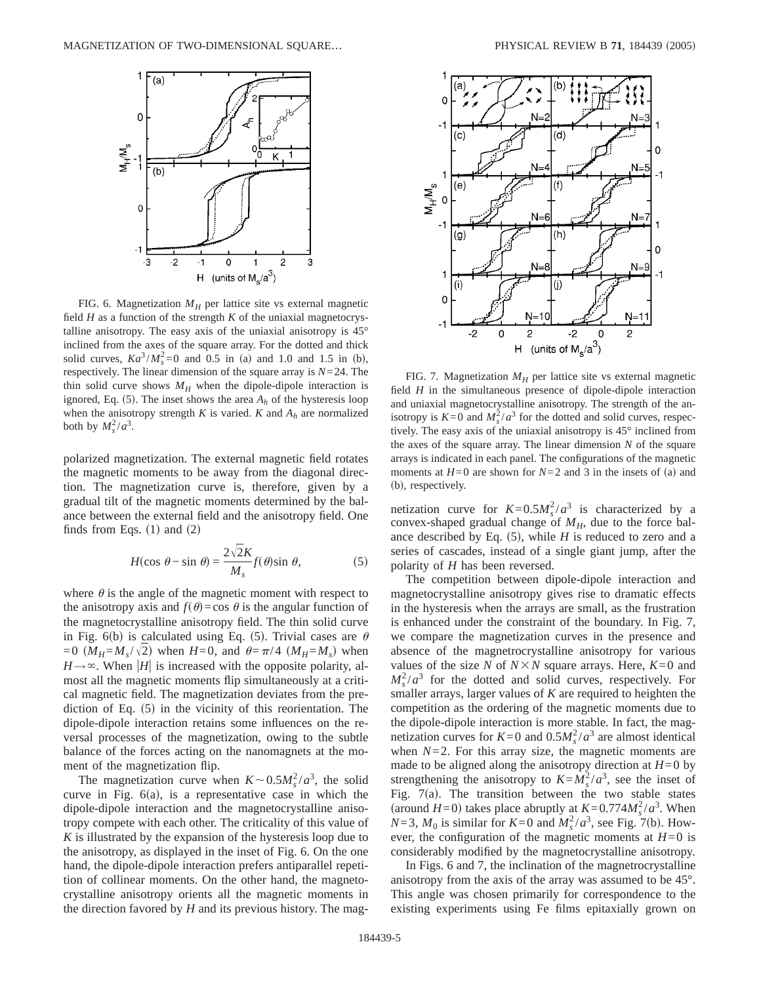

FIG. 6. Magnetization  $M_H$  per lattice site vs external magnetic field *H* as a function of the strength *K* of the uniaxial magnetocrystalline anisotropy. The easy axis of the uniaxial anisotropy is 45° inclined from the axes of the square array. For the dotted and thick solid curves,  $Ka^3/M_s^2 = 0$  and 0.5 in (a) and 1.0 and 1.5 in (b), respectively. The linear dimension of the square array is *N*=24. The thin solid curve shows  $M_H$  when the dipole-dipole interaction is ignored, Eq. (5). The inset shows the area  $A_h$  of the hysteresis loop when the anisotropy strength  $K$  is varied.  $K$  and  $A_h$  are normalized both by  $M_s^2/a^3$ .

polarized magnetization. The external magnetic field rotates the magnetic moments to be away from the diagonal direction. The magnetization curve is, therefore, given by a gradual tilt of the magnetic moments determined by the balance between the external field and the anisotropy field. One finds from Eqs.  $(1)$  and  $(2)$ 

$$
H(\cos \theta - \sin \theta) = \frac{2\sqrt{2}K}{M_s} f(\theta) \sin \theta, \tag{5}
$$

where  $\theta$  is the angle of the magnetic moment with respect to the anisotropy axis and  $f(\theta) = \cos \theta$  is the angular function of the magnetocrystalline anisotropy field. The thin solid curve in Fig. 6(b) is calculated using Eq. (5). Trivial cases are  $\theta$  $=0$   $(M_H = M_s / \sqrt{2})$  when  $H=0$ , and  $\theta = \pi/4$   $(M_H = M_s)$  when  $H\rightarrow\infty$ . When |*H*| is increased with the opposite polarity, almost all the magnetic moments flip simultaneously at a critical magnetic field. The magnetization deviates from the prediction of Eq.  $(5)$  in the vicinity of this reorientation. The dipole-dipole interaction retains some influences on the reversal processes of the magnetization, owing to the subtle balance of the forces acting on the nanomagnets at the moment of the magnetization flip.

The magnetization curve when  $K \sim 0.5 M_s^2 / a^3$ , the solid curve in Fig.  $6(a)$ , is a representative case in which the dipole-dipole interaction and the magnetocrystalline anisotropy compete with each other. The criticality of this value of *K* is illustrated by the expansion of the hysteresis loop due to the anisotropy, as displayed in the inset of Fig. 6. On the one hand, the dipole-dipole interaction prefers antiparallel repetition of collinear moments. On the other hand, the magnetocrystalline anisotropy orients all the magnetic moments in the direction favored by *H* and its previous history. The mag-



FIG. 7. Magnetization  $M_H$  per lattice site vs external magnetic field *H* in the simultaneous presence of dipole-dipole interaction and uniaxial magnetocrystalline anisotropy. The strength of the anisotropy is  $K=0$  and  $M_s^2/a^3$  for the dotted and solid curves, respectively. The easy axis of the uniaxial anisotropy is 45° inclined from the axes of the square array. The linear dimension *N* of the square arrays is indicated in each panel. The configurations of the magnetic moments at  $H=0$  are shown for  $N=2$  and 3 in the insets of (a) and (b), respectively.

netization curve for  $K=0.5M_s^2/a^3$  is characterized by a convex-shaped gradual change of  $M_H$ , due to the force balance described by Eq.  $(5)$ , while *H* is reduced to zero and a series of cascades, instead of a single giant jump, after the polarity of *H* has been reversed.

The competition between dipole-dipole interaction and magnetocrystalline anisotropy gives rise to dramatic effects in the hysteresis when the arrays are small, as the frustration is enhanced under the constraint of the boundary. In Fig. 7, we compare the magnetization curves in the presence and absence of the magnetrocrystalline anisotropy for various values of the size *N* of  $N \times N$  square arrays. Here,  $K=0$  and  $M_s^2/a^3$  for the dotted and solid curves, respectively. For smaller arrays, larger values of *K* are required to heighten the competition as the ordering of the magnetic moments due to the dipole-dipole interaction is more stable. In fact, the magnetization curves for  $K=0$  and  $0.5M_s^2/a^3$  are almost identical when  $N=2$ . For this array size, the magnetic moments are made to be aligned along the anisotropy direction at  $H=0$  by strengthening the anisotropy to  $K = M_s^2 / a^3$ , see the inset of Fig.  $7(a)$ . The transition between the two stable states (around *H*=0) takes place abruptly at  $K = 0.774 M_s^2 / a^3$ . When  $N=3$ ,  $M_0$  is similar for  $K=0$  and  $M_s^2/a^3$ , see Fig. 7(b). However, the configuration of the magnetic moments at  $H=0$  is considerably modified by the magnetocrystalline anisotropy.

In Figs. 6 and 7, the inclination of the magnetrocrystalline anisotropy from the axis of the array was assumed to be 45°. This angle was chosen primarily for correspondence to the existing experiments using Fe films epitaxially grown on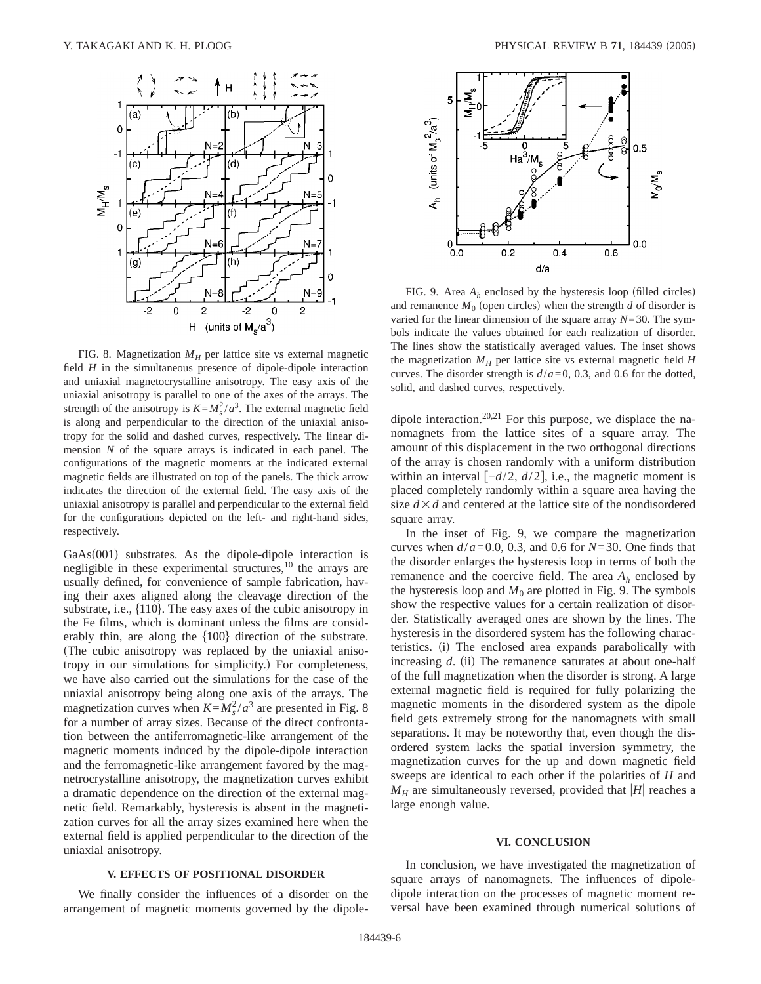

FIG. 8. Magnetization  $M_H$  per lattice site vs external magnetic field *H* in the simultaneous presence of dipole-dipole interaction and uniaxial magnetocrystalline anisotropy. The easy axis of the uniaxial anisotropy is parallel to one of the axes of the arrays. The strength of the anisotropy is  $K = M_s^2 / a^3$ . The external magnetic field is along and perpendicular to the direction of the uniaxial anisotropy for the solid and dashed curves, respectively. The linear dimension *N* of the square arrays is indicated in each panel. The configurations of the magnetic moments at the indicated external magnetic fields are illustrated on top of the panels. The thick arrow indicates the direction of the external field. The easy axis of the uniaxial anisotropy is parallel and perpendicular to the external field for the configurations depicted on the left- and right-hand sides, respectively.

 $GaAs(001)$  substrates. As the dipole-dipole interaction is negligible in these experimental structures, $10$  the arrays are usually defined, for convenience of sample fabrication, having their axes aligned along the cleavage direction of the substrate, i.e.,  $\{110\}$ . The easy axes of the cubic anisotropy in the Fe films, which is dominant unless the films are considerably thin, are along the  $\{100\}$  direction of the substrate. (The cubic anisotropy was replaced by the uniaxial anisotropy in our simulations for simplicity.) For completeness, we have also carried out the simulations for the case of the uniaxial anisotropy being along one axis of the arrays. The magnetization curves when  $K = M_s^2 / a^3$  are presented in Fig. 8 for a number of array sizes. Because of the direct confrontation between the antiferromagnetic-like arrangement of the magnetic moments induced by the dipole-dipole interaction and the ferromagnetic-like arrangement favored by the magnetrocrystalline anisotropy, the magnetization curves exhibit a dramatic dependence on the direction of the external magnetic field. Remarkably, hysteresis is absent in the magnetization curves for all the array sizes examined here when the external field is applied perpendicular to the direction of the uniaxial anisotropy.

## **V. EFFECTS OF POSITIONAL DISORDER**

We finally consider the influences of a disorder on the arrangement of magnetic moments governed by the dipole-



FIG. 9. Area  $A_h$  enclosed by the hysteresis loop (filled circles) and remanence  $M_0$  (open circles) when the strength  $d$  of disorder is varied for the linear dimension of the square array  $N=30$ . The symbols indicate the values obtained for each realization of disorder. The lines show the statistically averaged values. The inset shows the magnetization  $M_H$  per lattice site vs external magnetic field  $H$ curves. The disorder strength is  $d/a = 0$ , 0.3, and 0.6 for the dotted, solid, and dashed curves, respectively.

dipole interaction.<sup>20,21</sup> For this purpose, we displace the nanomagnets from the lattice sites of a square array. The amount of this displacement in the two orthogonal directions of the array is chosen randomly with a uniform distribution within an interval  $\left[-\frac{d}{2}, \frac{d}{2}\right]$ , i.e., the magnetic moment is placed completely randomly within a square area having the size  $d \times d$  and centered at the lattice site of the nondisordered square array.

In the inset of Fig. 9, we compare the magnetization curves when  $d/a = 0.0$ , 0.3, and 0.6 for  $N = 30$ . One finds that the disorder enlarges the hysteresis loop in terms of both the remanence and the coercive field. The area  $A_h$  enclosed by the hysteresis loop and  $M_0$  are plotted in Fig. 9. The symbols show the respective values for a certain realization of disorder. Statistically averaged ones are shown by the lines. The hysteresis in the disordered system has the following characteristics. (i) The enclosed area expands parabolically with increasing  $d$ . (ii) The remanence saturates at about one-half of the full magnetization when the disorder is strong. A large external magnetic field is required for fully polarizing the magnetic moments in the disordered system as the dipole field gets extremely strong for the nanomagnets with small separations. It may be noteworthy that, even though the disordered system lacks the spatial inversion symmetry, the magnetization curves for the up and down magnetic field sweeps are identical to each other if the polarities of *H* and  $M_H$  are simultaneously reversed, provided that |*H*| reaches a large enough value.

#### **VI. CONCLUSION**

In conclusion, we have investigated the magnetization of square arrays of nanomagnets. The influences of dipoledipole interaction on the processes of magnetic moment reversal have been examined through numerical solutions of